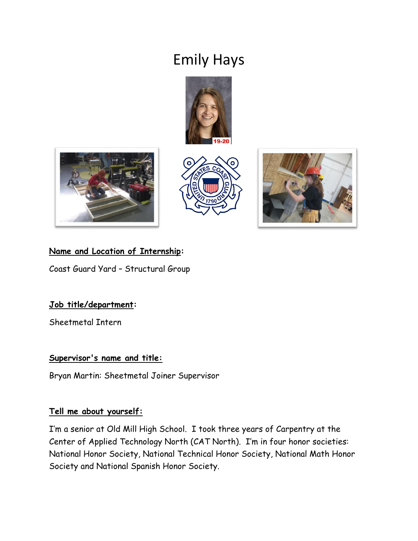# Emily Hays









# **Name and Location of Internship:**

Coast Guard Yard – Structural Group

# **Job title/department:**

Sheetmetal Intern

# **Supervisor's name and title:**

Bryan Martin: Sheetmetal Joiner Supervisor

# **Tell me about yourself:**

I'm a senior at Old Mill High School. I took three years of Carpentry at the Center of Applied Technology North (CAT North). I'm in four honor societies: National Honor Society, National Technical Honor Society, National Math Honor Society and National Spanish Honor Society.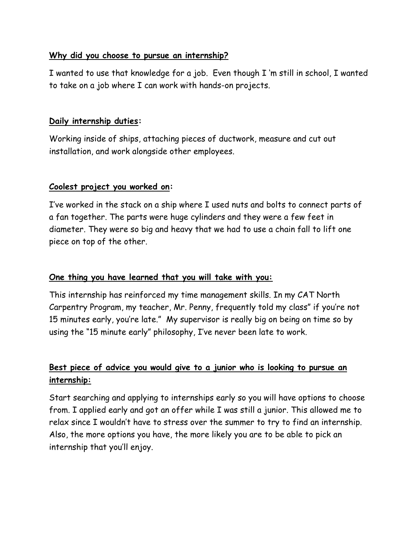# **Why did you choose to pursue an internship?**

I wanted to use that knowledge for a job. Even though I 'm still in school, I wanted to take on a job where I can work with hands-on projects.

#### **Daily internship duties:**

Working inside of ships, attaching pieces of ductwork, measure and cut out installation, and work alongside other employees.

#### **Coolest project you worked on:**

I've worked in the stack on a ship where I used nuts and bolts to connect parts of a fan together. The parts were huge cylinders and they were a few feet in diameter. They were so big and heavy that we had to use a chain fall to lift one piece on top of the other.

# **One thing you have learned that you will take with you:**

This internship has reinforced my time management skills. In my CAT North Carpentry Program, my teacher, Mr. Penny, frequently told my class" if you're not 15 minutes early, you're late." My supervisor is really big on being on time so by using the "15 minute early" philosophy, I've never been late to work.

# **Best piece of advice you would give to a junior who is looking to pursue an internship:**

Start searching and applying to internships early so you will have options to choose from. I applied early and got an offer while I was still a junior. This allowed me to relax since I wouldn't have to stress over the summer to try to find an internship. Also, the more options you have, the more likely you are to be able to pick an internship that you'll enjoy.